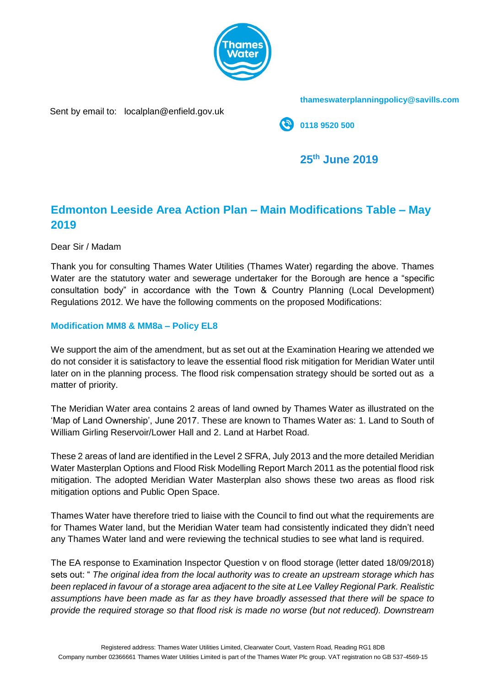

**thameswaterplanningpolicy@savills.com**

Sent by email to: localplan@enfield.gov.uk

**0118 9520 500**

**25th June 2019**

# **Edmonton Leeside Area Action Plan – Main Modifications Table – May 2019**

Dear Sir / Madam

Thank you for consulting Thames Water Utilities (Thames Water) regarding the above. Thames Water are the statutory water and sewerage undertaker for the Borough are hence a "specific consultation body" in accordance with the Town & Country Planning (Local Development) Regulations 2012. We have the following comments on the proposed Modifications:

## **Modification MM8 & MM8a – Policy EL8**

We support the aim of the amendment, but as set out at the Examination Hearing we attended we do not consider it is satisfactory to leave the essential flood risk mitigation for Meridian Water until later on in the planning process. The flood risk compensation strategy should be sorted out as a matter of priority.

The Meridian Water area contains 2 areas of land owned by Thames Water as illustrated on the 'Map of Land Ownership', June 2017. These are known to Thames Water as: 1. Land to South of William Girling Reservoir/Lower Hall and 2. Land at Harbet Road.

These 2 areas of land are identified in the Level 2 SFRA, July 2013 and the more detailed Meridian Water Masterplan Options and Flood Risk Modelling Report March 2011 as the potential flood risk mitigation. The adopted Meridian Water Masterplan also shows these two areas as flood risk mitigation options and Public Open Space.

Thames Water have therefore tried to liaise with the Council to find out what the requirements are for Thames Water land, but the Meridian Water team had consistently indicated they didn't need any Thames Water land and were reviewing the technical studies to see what land is required.

The EA response to Examination Inspector Question v on flood storage (letter dated 18/09/2018) sets out: " *The original idea from the local authority was to create an upstream storage which has been replaced in favour of a storage area adjacent to the site at Lee Valley Regional Park. Realistic assumptions have been made as far as they have broadly assessed that there will be space to provide the required storage so that flood risk is made no worse (but not reduced). Downstream*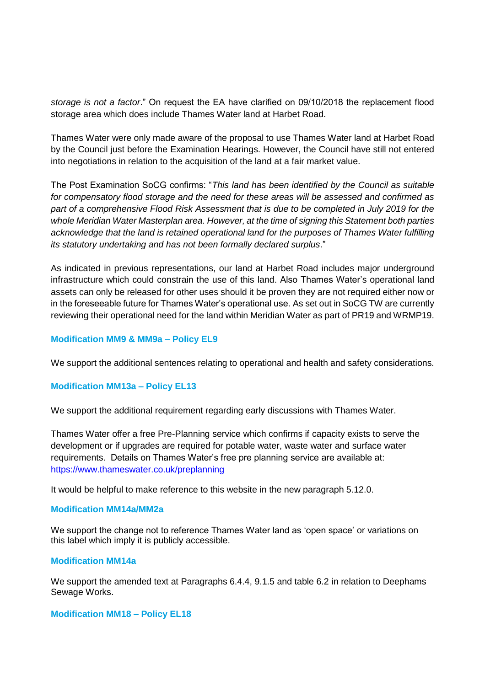*storage is not a factor*." On request the EA have clarified on 09/10/2018 the replacement flood storage area which does include Thames Water land at Harbet Road.

Thames Water were only made aware of the proposal to use Thames Water land at Harbet Road by the Council just before the Examination Hearings. However, the Council have still not entered into negotiations in relation to the acquisition of the land at a fair market value.

The Post Examination SoCG confirms: "*This land has been identified by the Council as suitable for compensatory flood storage and the need for these areas will be assessed and confirmed as part of a comprehensive Flood Risk Assessment that is due to be completed in July 2019 for the whole Meridian Water Masterplan area. However, at the time of signing this Statement both parties acknowledge that the land is retained operational land for the purposes of Thames Water fulfilling its statutory undertaking and has not been formally declared surplus*."

As indicated in previous representations, our land at Harbet Road includes major underground infrastructure which could constrain the use of this land. Also Thames Water's operational land assets can only be released for other uses should it be proven they are not required either now or in the foreseeable future for Thames Water's operational use. As set out in SoCG TW are currently reviewing their operational need for the land within Meridian Water as part of PR19 and WRMP19.

## **Modification MM9 & MM9a – Policy EL9**

We support the additional sentences relating to operational and health and safety considerations.

## **Modification MM13a – Policy EL13**

We support the additional requirement regarding early discussions with Thames Water.

Thames Water offer a free Pre-Planning service which confirms if capacity exists to serve the development or if upgrades are required for potable water, waste water and surface water requirements. Details on Thames Water's free pre planning service are available at: <https://www.thameswater.co.uk/preplanning>

It would be helpful to make reference to this website in the new paragraph 5.12.0.

### **Modification MM14a/MM2a**

We support the change not to reference Thames Water land as 'open space' or variations on this label which imply it is publicly accessible.

### **Modification MM14a**

We support the amended text at Paragraphs 6.4.4, 9.1.5 and table 6.2 in relation to Deephams Sewage Works.

### **Modification MM18 – Policy EL18**